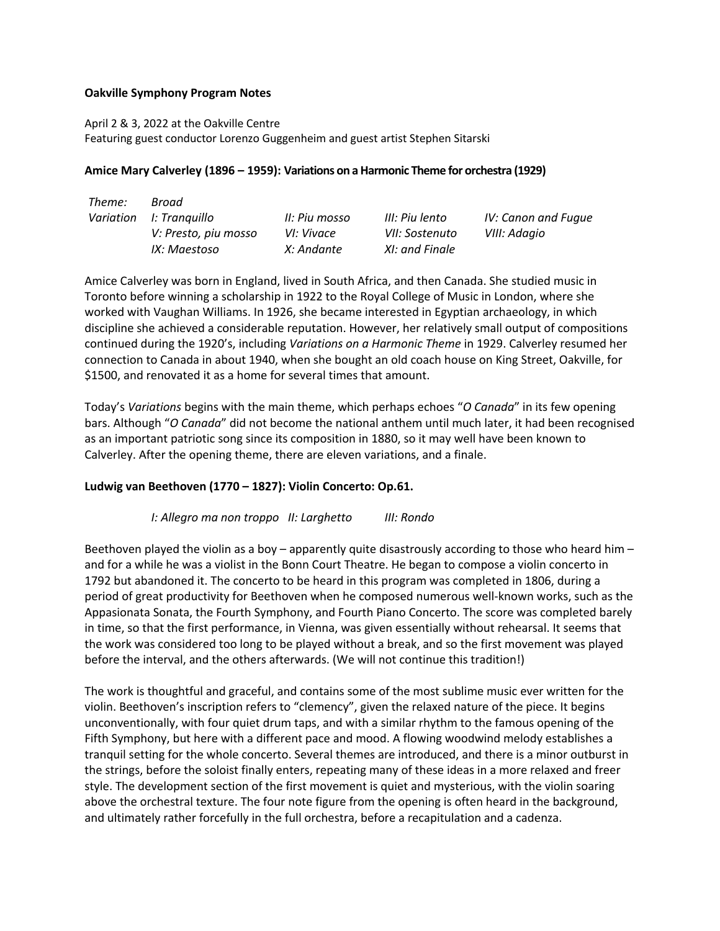## **Oakville Symphony Program Notes**

April 2 & 3, 2022 at the Oakville Centre Featuring guest conductor Lorenzo Guggenheim and guest artist Stephen Sitarski

## **Amice Mary Calverley (1896 – 1959): Variations on a Harmonic Theme for orchestra (1929)**

| Theme: | Broad                   |               |                |                     |
|--------|-------------------------|---------------|----------------|---------------------|
|        | Variation I: Tranquillo | II: Piu mosso | III: Piu lento | IV: Canon and Fugue |
|        | V: Presto, piu mosso    | VI: Vivace    | VII: Sostenuto | VIII: Adagio        |
|        | IX: Maestoso            | X: Andante    | XI: and Finale |                     |

Amice Calverley was born in England, lived in South Africa, and then Canada. She studied music in Toronto before winning a scholarship in 1922 to the Royal College of Music in London, where she worked with Vaughan Williams. In 1926, she became interested in Egyptian archaeology, in which discipline she achieved a considerable reputation. However, her relatively small output of compositions continued during the 1920's, including *Variations on a Harmonic Theme* in 1929. Calverley resumed her connection to Canada in about 1940, when she bought an old coach house on King Street, Oakville, for \$1500, and renovated it as a home for several times that amount.

Today's *Variations* begins with the main theme, which perhaps echoes "*O Canada*" in its few opening bars. Although "*O Canada*" did not become the national anthem until much later, it had been recognised as an important patriotic song since its composition in 1880, so it may well have been known to Calverley. After the opening theme, there are eleven variations, and a finale.

# **Ludwig van Beethoven (1770 – 1827): Violin Concerto: Op.61.**

#### *I: Allegro ma non troppo II: Larghetto III: Rondo*

Beethoven played the violin as a boy – apparently quite disastrously according to those who heard him – and for a while he was a violist in the Bonn Court Theatre. He began to compose a violin concerto in 1792 but abandoned it. The concerto to be heard in this program was completed in 1806, during a period of great productivity for Beethoven when he composed numerous well-known works, such as the Appasionata Sonata, the Fourth Symphony, and Fourth Piano Concerto. The score was completed barely in time, so that the first performance, in Vienna, was given essentially without rehearsal. It seems that the work was considered too long to be played without a break, and so the first movement was played before the interval, and the others afterwards. (We will not continue this tradition!)

The work is thoughtful and graceful, and contains some of the most sublime music ever written for the violin. Beethoven's inscription refers to "clemency", given the relaxed nature of the piece. It begins unconventionally, with four quiet drum taps, and with a similar rhythm to the famous opening of the Fifth Symphony, but here with a different pace and mood. A flowing woodwind melody establishes a tranquil setting for the whole concerto. Several themes are introduced, and there is a minor outburst in the strings, before the soloist finally enters, repeating many of these ideas in a more relaxed and freer style. The development section of the first movement is quiet and mysterious, with the violin soaring above the orchestral texture. The four note figure from the opening is often heard in the background, and ultimately rather forcefully in the full orchestra, before a recapitulation and a cadenza.